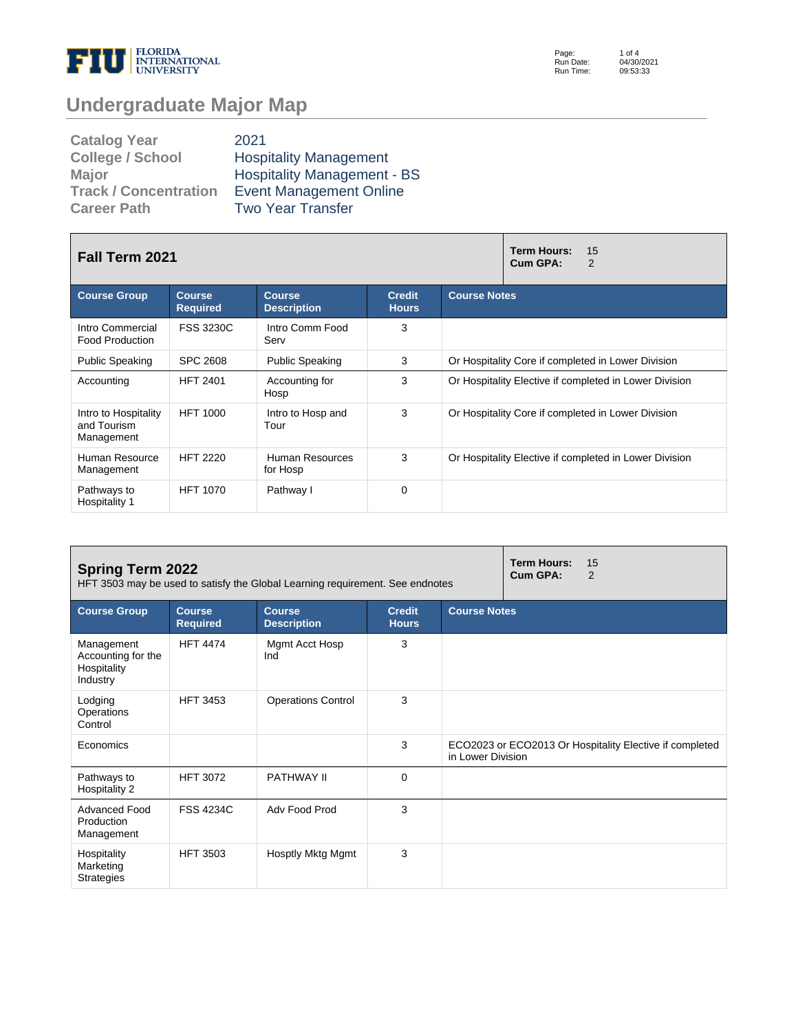

Page: Run Date: Run Time: 1 of 4 04/30/2021 09:53:33

# **Undergraduate Major Map**

| <b>Catalog Year</b>          | 2021                               |
|------------------------------|------------------------------------|
| <b>College / School</b>      | <b>Hospitality Management</b>      |
| <b>Major</b>                 | <b>Hospitality Management - BS</b> |
| <b>Track / Concentration</b> | <b>Event Management Online</b>     |
| <b>Career Path</b>           | <b>Two Year Transfer</b>           |

| <b>Fall Term 2021</b>                             |                                  |                                     |                               | <b>Term Hours:</b><br>15<br>Cum GPA:<br>2              |  |  |
|---------------------------------------------------|----------------------------------|-------------------------------------|-------------------------------|--------------------------------------------------------|--|--|
| <b>Course Group</b>                               | <b>Course</b><br><b>Required</b> | <b>Course</b><br><b>Description</b> | <b>Credit</b><br><b>Hours</b> | <b>Course Notes</b>                                    |  |  |
| Intro Commercial<br><b>Food Production</b>        | <b>FSS 3230C</b>                 | Intro Comm Food<br>Serv             | 3                             |                                                        |  |  |
| <b>Public Speaking</b>                            | <b>SPC 2608</b>                  | <b>Public Speaking</b>              | 3                             | Or Hospitality Core if completed in Lower Division     |  |  |
| Accounting                                        | <b>HFT 2401</b>                  | Accounting for<br>Hosp              | 3                             | Or Hospitality Elective if completed in Lower Division |  |  |
| Intro to Hospitality<br>and Tourism<br>Management | <b>HFT 1000</b>                  | Intro to Hosp and<br>Tour           | 3                             | Or Hospitality Core if completed in Lower Division     |  |  |
| Human Resource<br>Management                      | <b>HFT 2220</b>                  | Human Resources<br>for Hosp         | 3                             | Or Hospitality Elective if completed in Lower Division |  |  |
| Pathways to<br>Hospitality 1                      | <b>HFT 1070</b>                  | Pathway I                           | $\Omega$                      |                                                        |  |  |

| <b>Spring Term 2022</b><br>HFT 3503 may be used to satisfy the Global Learning requirement. See endnotes |                                  |                                     |                               | <b>Term Hours:</b><br>15<br>Cum GPA:<br>2 |                                                         |
|----------------------------------------------------------------------------------------------------------|----------------------------------|-------------------------------------|-------------------------------|-------------------------------------------|---------------------------------------------------------|
| <b>Course Group</b>                                                                                      | <b>Course</b><br><b>Required</b> | <b>Course</b><br><b>Description</b> | <b>Credit</b><br><b>Hours</b> | <b>Course Notes</b>                       |                                                         |
| Management<br>Accounting for the<br>Hospitality<br>Industry                                              | <b>HFT 4474</b>                  | Mgmt Acct Hosp<br>Ind               | 3                             |                                           |                                                         |
| Lodging<br>Operations<br>Control                                                                         | <b>HFT 3453</b>                  | <b>Operations Control</b>           | 3                             |                                           |                                                         |
| Economics                                                                                                |                                  |                                     | 3                             | in Lower Division                         | ECO2023 or ECO2013 Or Hospitality Elective if completed |
| Pathways to<br>Hospitality 2                                                                             | <b>HFT 3072</b>                  | <b>PATHWAY II</b>                   | 0                             |                                           |                                                         |
| <b>Advanced Food</b><br>Production<br>Management                                                         | <b>FSS 4234C</b>                 | Adv Food Prod                       | 3                             |                                           |                                                         |
| Hospitality<br>Marketing<br><b>Strategies</b>                                                            | <b>HFT 3503</b>                  | Hosptly Mktg Mgmt                   | 3                             |                                           |                                                         |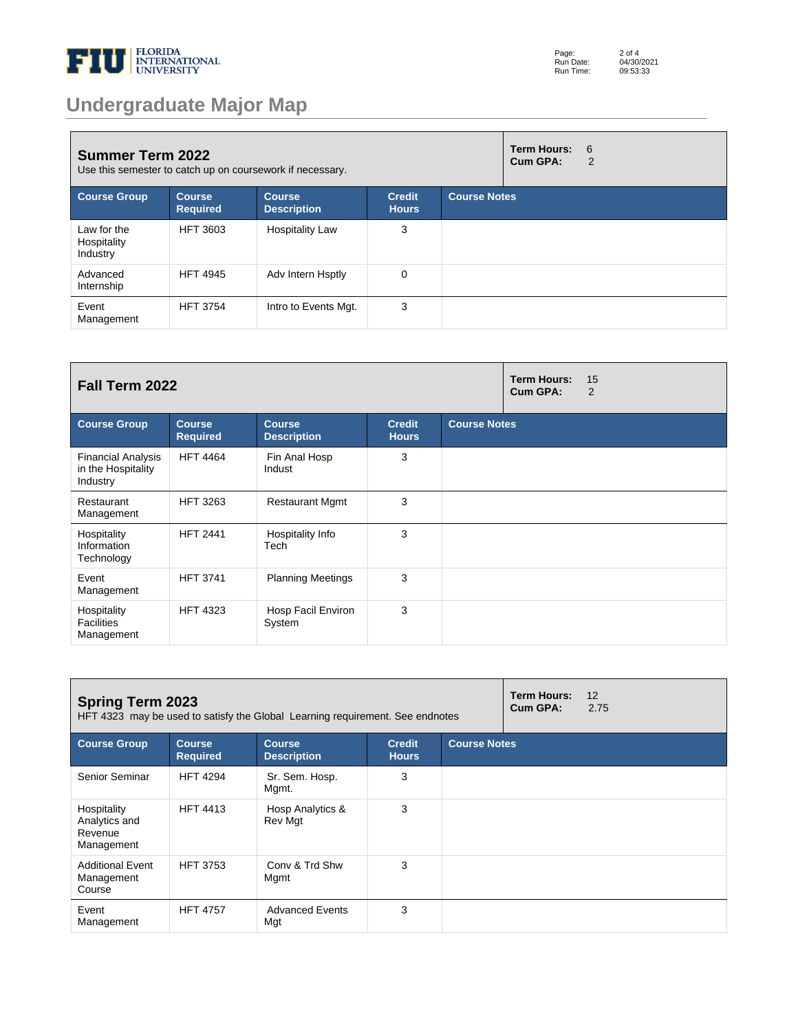

# **Undergraduate Major Map**

| <b>Summer Term 2022</b><br>Use this semester to catch up on coursework if necessary. |                                  |                                     |                               | <b>Term Hours:</b><br>Cum GPA: | 6<br>2 |  |
|--------------------------------------------------------------------------------------|----------------------------------|-------------------------------------|-------------------------------|--------------------------------|--------|--|
| <b>Course Group</b>                                                                  | <b>Course</b><br><b>Required</b> | <b>Course</b><br><b>Description</b> | <b>Credit</b><br><b>Hours</b> | <b>Course Notes</b>            |        |  |
| Law for the<br>Hospitality<br>Industry                                               | <b>HFT 3603</b>                  | <b>Hospitality Law</b>              | 3                             |                                |        |  |
| Advanced<br>Internship                                                               | <b>HFT 4945</b>                  | Adv Intern Hsptly                   | 0                             |                                |        |  |
| Event<br>Management                                                                  | <b>HFT 3754</b>                  | Intro to Events Mgt.                | 3                             |                                |        |  |

| Fall Term 2022                                              |                                  |                                     |                               | <b>Term Hours:</b><br>Cum GPA: | 15<br>$\overline{2}$ |  |
|-------------------------------------------------------------|----------------------------------|-------------------------------------|-------------------------------|--------------------------------|----------------------|--|
| <b>Course Group</b>                                         | <b>Course</b><br><b>Required</b> | <b>Course</b><br><b>Description</b> | <b>Credit</b><br><b>Hours</b> | <b>Course Notes</b>            |                      |  |
| <b>Financial Analysis</b><br>in the Hospitality<br>Industry | <b>HFT 4464</b>                  | Fin Anal Hosp<br>Indust             | 3                             |                                |                      |  |
| Restaurant<br>Management                                    | <b>HFT 3263</b>                  | <b>Restaurant Mgmt</b>              | 3                             |                                |                      |  |
| Hospitality<br>Information<br>Technology                    | <b>HFT 2441</b>                  | Hospitality Info<br>Tech            | 3                             |                                |                      |  |
| Event<br>Management                                         | <b>HFT 3741</b>                  | <b>Planning Meetings</b>            | 3                             |                                |                      |  |
| Hospitality<br><b>Facilities</b><br>Management              | <b>HFT 4323</b>                  | Hosp Facil Environ<br>System        | 3                             |                                |                      |  |

| <b>Spring Term 2023</b><br>HFT 4323 may be used to satisfy the Global Learning requirement. See endnotes |                                  |                                     |                               | Term Hours:<br>Cum GPA: | 12<br>2.75 |  |
|----------------------------------------------------------------------------------------------------------|----------------------------------|-------------------------------------|-------------------------------|-------------------------|------------|--|
| <b>Course Group</b>                                                                                      | <b>Course</b><br><b>Required</b> | <b>Course</b><br><b>Description</b> | <b>Credit</b><br><b>Hours</b> | <b>Course Notes</b>     |            |  |
| Senior Seminar                                                                                           | <b>HFT 4294</b>                  | Sr. Sem. Hosp.<br>Mgmt.             | 3                             |                         |            |  |
| Hospitality<br>Analytics and<br>Revenue<br>Management                                                    | <b>HFT 4413</b>                  | Hosp Analytics &<br>Rev Mgt         | 3                             |                         |            |  |
| <b>Additional Event</b><br>Management<br>Course                                                          | <b>HFT 3753</b>                  | Conv & Trd Shw<br>Mgmt              | 3                             |                         |            |  |
| Event<br>Management                                                                                      | <b>HFT 4757</b>                  | <b>Advanced Events</b><br>Mgt       | 3                             |                         |            |  |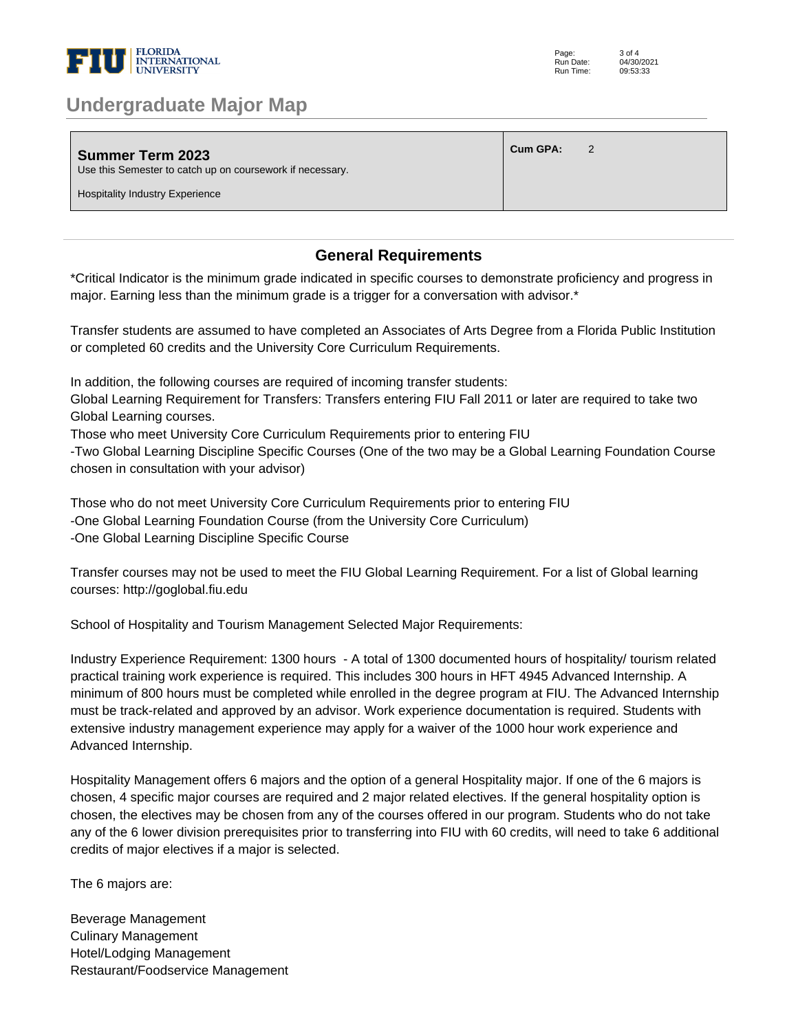

### **Undergraduate Major Map**

| <b>Summer Term 2023</b><br>Use this Semester to catch up on coursework if necessary. | Cum GPA: |  |
|--------------------------------------------------------------------------------------|----------|--|
| <b>Hospitality Industry Experience</b>                                               |          |  |

#### **General Requirements**

\*Critical Indicator is the minimum grade indicated in specific courses to demonstrate proficiency and progress in major. Earning less than the minimum grade is a trigger for a conversation with advisor.\* 

Transfer students are assumed to have completed an Associates of Arts Degree from a Florida Public Institution or completed 60 credits and the University Core Curriculum Requirements. 

In addition, the following courses are required of incoming transfer students: 

Global Learning Requirement for Transfers: Transfers entering FIU Fall 2011 or later are required to take two Global Learning courses. 

Those who meet University Core Curriculum Requirements prior to entering FIU 

-Two Global Learning Discipline Specific Courses (One of the two may be a Global Learning Foundation Course chosen in consultation with your advisor) 

Those who do not meet University Core Curriculum Requirements prior to entering FIU -One Global Learning Foundation Course (from the University Core Curriculum) -One Global Learning Discipline Specific Course 

Transfer courses may not be used to meet the FIU Global Learning Requirement. For a list of Global learning courses: http://goglobal.fiu.edu 

School of Hospitality and Tourism Management Selected Major Requirements: 

Industry Experience Requirement: 1300 hours - A total of 1300 documented hours of hospitality/ tourism related practical training work experience is required. This includes 300 hours in HFT 4945 Advanced Internship. A minimum of 800 hours must be completed while enrolled in the degree program at FIU. The Advanced Internship must be track-related and approved by an advisor. Work experience documentation is required. Students with extensive industry management experience may apply for a waiver of the 1000 hour work experience and Advanced Internship. 

Hospitality Management offers 6 majors and the option of a general Hospitality major. If one of the 6 majors is chosen, 4 specific major courses are required and 2 major related electives. If the general hospitality option is chosen, the electives may be chosen from any of the courses offered in our program. Students who do not take any of the 6 lower division prerequisites prior to transferring into FIU with 60 credits, will need to take 6 additional credits of major electives if a major is selected.

The 6 majors are:

Beverage Management Culinary Management Hotel/Lodging Management Restaurant/Foodservice Management